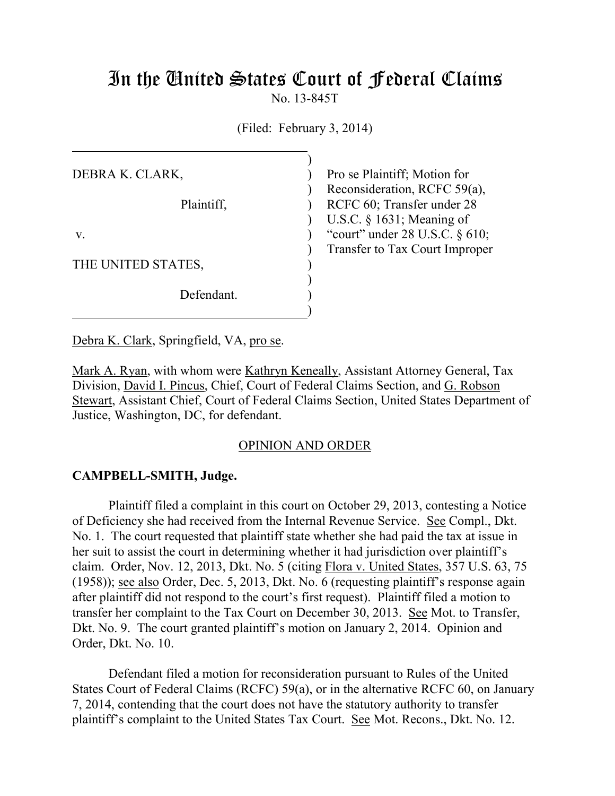# In the United States Court of Federal Claims

No. 13-845T

(Filed: February 3, 2014)

| Pro se Plaintiff; Motion for        |
|-------------------------------------|
| Reconsideration, RCFC 59(a),        |
| RCFC 60; Transfer under 28          |
| U.S.C. $\S$ 1631; Meaning of        |
| "court" under $28$ U.S.C. $\S$ 610; |
| Transfer to Tax Court Improper      |
|                                     |
|                                     |
|                                     |
|                                     |
|                                     |

Debra K. Clark, Springfield, VA, pro se.

Mark A. Ryan, with whom were Kathryn Keneally, Assistant Attorney General, Tax Division, David I. Pincus, Chief, Court of Federal Claims Section, and G. Robson Stewart, Assistant Chief, Court of Federal Claims Section, United States Department of Justice, Washington, DC, for defendant.

## OPINION AND ORDER

## **CAMPBELL-SMITH, Judge.**

Plaintiff filed a complaint in this court on October 29, 2013, contesting a Notice of Deficiency she had received from the Internal Revenue Service. See Compl., Dkt. No. 1. The court requested that plaintiff state whether she had paid the tax at issue in her suit to assist the court in determining whether it had jurisdiction over plaintiff's claim. Order, Nov. 12, 2013, Dkt. No. 5 (citing Flora v. United States, 357 U.S. 63, 75 (1958)); see also Order, Dec. 5, 2013, Dkt. No. 6 (requesting plaintiff's response again after plaintiff did not respond to the court's first request). Plaintiff filed a motion to transfer her complaint to the Tax Court on December 30, 2013. See Mot. to Transfer, Dkt. No. 9. The court granted plaintiff's motion on January 2, 2014. Opinion and Order, Dkt. No. 10.

Defendant filed a motion for reconsideration pursuant to Rules of the United States Court of Federal Claims (RCFC) 59(a), or in the alternative RCFC 60, on January 7, 2014, contending that the court does not have the statutory authority to transfer plaintiff's complaint to the United States Tax Court. See Mot. Recons., Dkt. No. 12.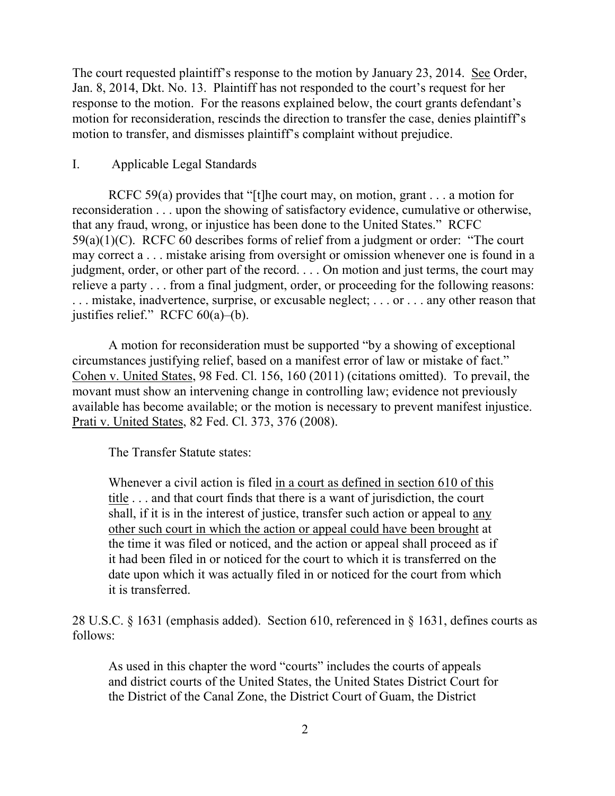The court requested plaintiff's response to the motion by January 23, 2014. See Order, Jan. 8, 2014, Dkt. No. 13. Plaintiff has not responded to the court's request for her response to the motion. For the reasons explained below, the court grants defendant's motion for reconsideration, rescinds the direction to transfer the case, denies plaintiff's motion to transfer, and dismisses plaintiff's complaint without prejudice.

# I. Applicable Legal Standards

RCFC 59(a) provides that "[t]he court may, on motion, grant  $\ldots$  a motion for reconsideration . . . upon the showing of satisfactory evidence, cumulative or otherwise, that any fraud, wrong, or injustice has been done to the United States." RCFC 59(a)(1)(C). RCFC 60 describes forms of relief from a judgment or order: "The court may correct a . . . mistake arising from oversight or omission whenever one is found in a judgment, order, or other part of the record. . . . On motion and just terms, the court may relieve a party . . . from a final judgment, order, or proceeding for the following reasons: . . . mistake, inadvertence, surprise, or excusable neglect; . . . or . . . any other reason that justifies relief." RCFC 60(a)–(b).

A motion for reconsideration must be supported "by a showing of exceptional circumstances justifying relief, based on a manifest error of law or mistake of fact." Cohen v. United States, 98 Fed. Cl. 156, 160 (2011) (citations omitted). To prevail, the movant must show an intervening change in controlling law; evidence not previously available has become available; or the motion is necessary to prevent manifest injustice. Prati v. United States, 82 Fed. Cl. 373, 376 (2008).

The Transfer Statute states:

Whenever a civil action is filed in a court as defined in section 610 of this title . . . and that court finds that there is a want of jurisdiction, the court shall, if it is in the interest of justice, transfer such action or appeal to any other such court in which the action or appeal could have been brought at the time it was filed or noticed, and the action or appeal shall proceed as if it had been filed in or noticed for the court to which it is transferred on the date upon which it was actually filed in or noticed for the court from which it is transferred.

28 U.S.C. § 1631 (emphasis added). Section 610, referenced in § 1631, defines courts as follows:

As used in this chapter the word "courts" includes the courts of appeals and district courts of the United States, the United States District Court for the District of the Canal Zone, the District Court of Guam, the District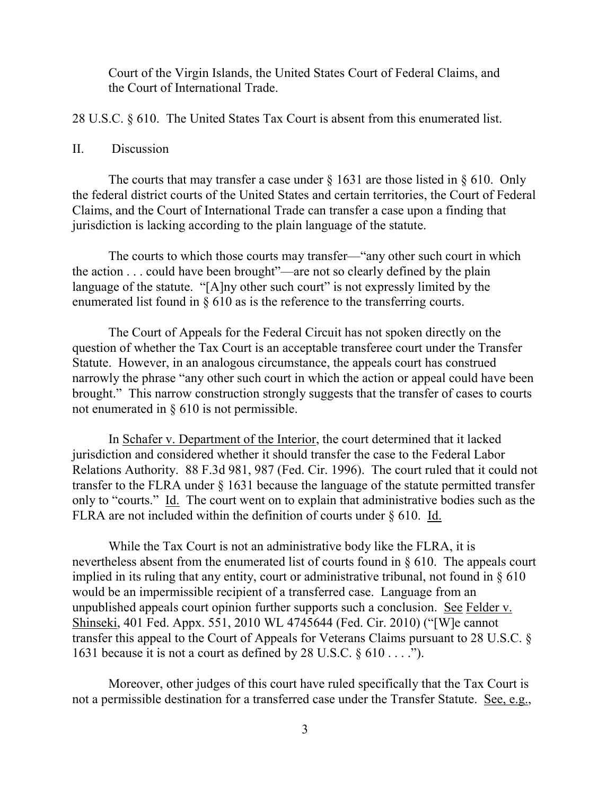Court of the Virgin Islands, the United States Court of Federal Claims, and the Court of International Trade.

28 U.S.C. § 610. The United States Tax Court is absent from this enumerated list.

### II. Discussion

The courts that may transfer a case under  $\S$  1631 are those listed in  $\S$  610. Only the federal district courts of the United States and certain territories, the Court of Federal Claims, and the Court of International Trade can transfer a case upon a finding that jurisdiction is lacking according to the plain language of the statute.

The courts to which those courts may transfer—"any other such court in which the action . . . could have been brought"—are not so clearly defined by the plain language of the statute. "[A]ny other such court" is not expressly limited by the enumerated list found in § 610 as is the reference to the transferring courts.

The Court of Appeals for the Federal Circuit has not spoken directly on the question of whether the Tax Court is an acceptable transferee court under the Transfer Statute. However, in an analogous circumstance, the appeals court has construed narrowly the phrase "any other such court in which the action or appeal could have been brought." This narrow construction strongly suggests that the transfer of cases to courts not enumerated in § 610 is not permissible.

In Schafer v. Department of the Interior, the court determined that it lacked jurisdiction and considered whether it should transfer the case to the Federal Labor Relations Authority. 88 F.3d 981, 987 (Fed. Cir. 1996). The court ruled that it could not transfer to the FLRA under § 1631 because the language of the statute permitted transfer only to "courts." Id. The court went on to explain that administrative bodies such as the FLRA are not included within the definition of courts under § 610. Id.

While the Tax Court is not an administrative body like the FLRA, it is nevertheless absent from the enumerated list of courts found in § 610. The appeals court implied in its ruling that any entity, court or administrative tribunal, not found in § 610 would be an impermissible recipient of a transferred case. Language from an unpublished appeals court opinion further supports such a conclusion. See Felder v. Shinseki, 401 Fed. Appx. 551, 2010 WL 4745644 (Fed. Cir. 2010) ("[W]e cannot transfer this appeal to the Court of Appeals for Veterans Claims pursuant to 28 U.S.C. § 1631 because it is not a court as defined by 28 U.S.C.  $\S 610...$ ").

Moreover, other judges of this court have ruled specifically that the Tax Court is not a permissible destination for a transferred case under the Transfer Statute. See, e.g.,